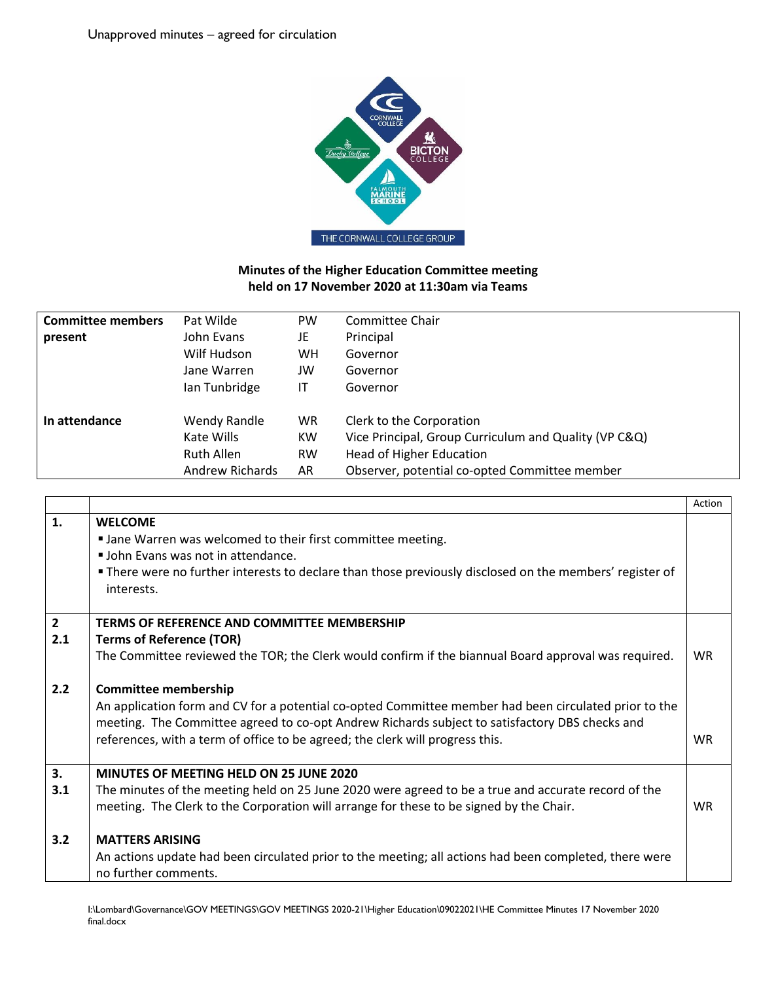

## **Minutes of the Higher Education Committee meeting held on 17 November 2020 at 11:30am via Teams**

| <b>Committee members</b> | Pat Wilde         | <b>PW</b> | Committee Chair                                       |
|--------------------------|-------------------|-----------|-------------------------------------------------------|
| present                  | John Evans        | JE        | Principal                                             |
|                          | Wilf Hudson       | <b>WH</b> | Governor                                              |
|                          | Jane Warren       | JW        | Governor                                              |
|                          | lan Tunbridge     | IT        | Governor                                              |
| In attendance            | Wendy Randle      | <b>WR</b> | Clerk to the Corporation                              |
|                          | Kate Wills        | <b>KW</b> | Vice Principal, Group Curriculum and Quality (VP C&Q) |
|                          | <b>Ruth Allen</b> | <b>RW</b> | <b>Head of Higher Education</b>                       |
|                          | Andrew Richards   | AR        | Observer, potential co-opted Committee member         |

|                |                                                                                                                        | Action    |
|----------------|------------------------------------------------------------------------------------------------------------------------|-----------|
| 1.             | <b>WELCOME</b>                                                                                                         |           |
|                | I Jane Warren was welcomed to their first committee meeting.                                                           |           |
|                | " John Evans was not in attendance.                                                                                    |           |
|                | • There were no further interests to declare than those previously disclosed on the members' register of<br>interests. |           |
| $\overline{2}$ | TERMS OF REFERENCE AND COMMITTEE MEMBERSHIP                                                                            |           |
| 2.1            | <b>Terms of Reference (TOR)</b>                                                                                        |           |
|                | The Committee reviewed the TOR; the Clerk would confirm if the biannual Board approval was required.                   | <b>WR</b> |
| 2.2            | <b>Committee membership</b>                                                                                            |           |
|                | An application form and CV for a potential co-opted Committee member had been circulated prior to the                  |           |
|                | meeting. The Committee agreed to co-opt Andrew Richards subject to satisfactory DBS checks and                         |           |
|                | references, with a term of office to be agreed; the clerk will progress this.                                          | <b>WR</b> |
| 3.             | <b>MINUTES OF MEETING HELD ON 25 JUNE 2020</b>                                                                         |           |
| 3.1            | The minutes of the meeting held on 25 June 2020 were agreed to be a true and accurate record of the                    |           |
|                | meeting. The Clerk to the Corporation will arrange for these to be signed by the Chair.                                | <b>WR</b> |
| 3.2            | <b>MATTERS ARISING</b>                                                                                                 |           |
|                | An actions update had been circulated prior to the meeting; all actions had been completed, there were                 |           |
|                | no further comments.                                                                                                   |           |
|                |                                                                                                                        |           |

I:\Lombard\Governance\GOV MEETINGS\GOV MEETINGS 2020-21\Higher Education\09022021\HE Committee Minutes 17 November 2020 final.docx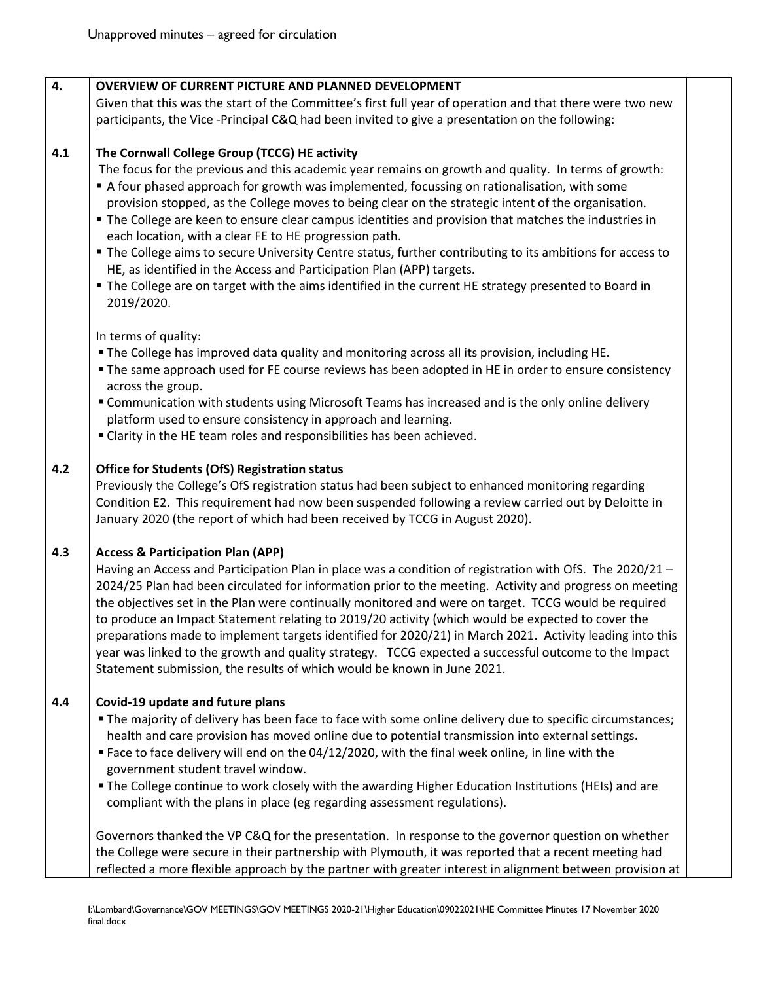| 4.  | <b>OVERVIEW OF CURRENT PICTURE AND PLANNED DEVELOPMENT</b>                                                 |
|-----|------------------------------------------------------------------------------------------------------------|
|     | Given that this was the start of the Committee's first full year of operation and that there were two new  |
|     | participants, the Vice -Principal C&Q had been invited to give a presentation on the following:            |
| 4.1 | The Cornwall College Group (TCCG) HE activity                                                              |
|     | The focus for the previous and this academic year remains on growth and quality. In terms of growth:       |
|     | A four phased approach for growth was implemented, focussing on rationalisation, with some                 |
|     | provision stopped, as the College moves to being clear on the strategic intent of the organisation.        |
|     | " The College are keen to ensure clear campus identities and provision that matches the industries in      |
|     | each location, with a clear FE to HE progression path.                                                     |
|     | • The College aims to secure University Centre status, further contributing to its ambitions for access to |
|     | HE, as identified in the Access and Participation Plan (APP) targets.                                      |
|     | " The College are on target with the aims identified in the current HE strategy presented to Board in      |
|     | 2019/2020.                                                                                                 |
|     | In terms of quality:                                                                                       |
|     | . The College has improved data quality and monitoring across all its provision, including HE              |
|     | • The same approach used for FE course reviews has been adopted in HE in order to ensure consistency       |
|     | across the group.                                                                                          |
|     | " Communication with students using Microsoft Teams has increased and is the only online delivery          |
|     | platform used to ensure consistency in approach and learning.                                              |
|     | " Clarity in the HE team roles and responsibilities has been achieved.                                     |
|     |                                                                                                            |
| 4.2 | <b>Office for Students (OfS) Registration status</b>                                                       |
|     | Previously the College's OfS registration status had been subject to enhanced monitoring regarding         |
|     | Condition E2. This requirement had now been suspended following a review carried out by Deloitte in        |
|     | January 2020 (the report of which had been received by TCCG in August 2020).                               |
| 4.3 | <b>Access &amp; Participation Plan (APP)</b>                                                               |
|     | Having an Access and Participation Plan in place was a condition of registration with OfS. The 2020/21 -   |
|     | 2024/25 Plan had been circulated for information prior to the meeting. Activity and progress on meeting    |
|     | the objectives set in the Plan were continually monitored and were on target. TCCG would be required       |
|     | to produce an Impact Statement relating to 2019/20 activity (which would be expected to cover the          |
|     | preparations made to implement targets identified for 2020/21) in March 2021. Activity leading into this   |
|     | year was linked to the growth and quality strategy. TCCG expected a successful outcome to the Impact       |
|     | Statement submission, the results of which would be known in June 2021.                                    |
| 4.4 | Covid-19 update and future plans                                                                           |
|     | " The majority of delivery has been face to face with some online delivery due to specific circumstances;  |
|     | health and care provision has moved online due to potential transmission into external settings.           |
|     | " Face to face delivery will end on the 04/12/2020, with the final week online, in line with the           |
|     | government student travel window.                                                                          |
|     | The College continue to work closely with the awarding Higher Education Institutions (HEIs) and are        |
|     | compliant with the plans in place (eg regarding assessment regulations).                                   |
|     | Governors thanked the VP C&Q for the presentation. In response to the governor question on whether         |
|     | the College were secure in their partnership with Plymouth, it was reported that a recent meeting had      |
|     | reflected a more flexible approach by the partner with greater interest in alignment between provision at  |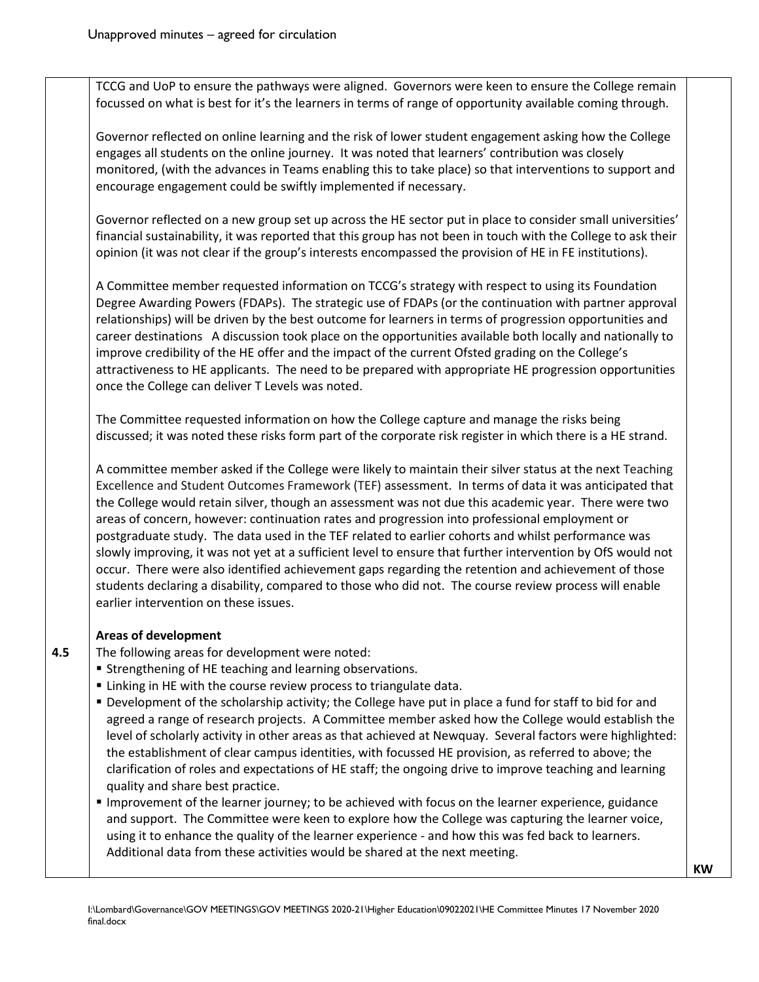TCCG and UoP to ensure the pathways were aligned. Governors were keen to ensure the College remain focussed on what is best for it's the learners in terms of range of opportunity available coming through.

Governor reflected on online learning and the risk of lower student engagement asking how the College engages all students on the online journey. It was noted that learners' contribution was closely monitored, (with the advances in Teams enabling this to take place) so that interventions to support and encourage engagement could be swiftly implemented if necessary.

Governor reflected on a new group set up across the HE sector put in place to consider small universities' financial sustainability, it was reported that this group has not been in touch with the College to ask their opinion (it was not clear if the group's interests encompassed the provision of HE in FE institutions).

A Committee member requested information on TCCG's strategy with respect to using its Foundation Degree Awarding Powers (FDAPs). The strategic use of FDAPs (or the continuation with partner approval relationships) will be driven by the best outcome for learners in terms of progression opportunities and career destinations A discussion took place on the opportunities available both locally and nationally to improve credibility of the HE offer and the impact of the current Ofsted grading on the College's attractiveness to HE applicants. The need to be prepared with appropriate HE progression opportunities once the College can deliver T Levels was noted.

The Committee requested information on how the College capture and manage the risks being discussed; it was noted these risks form part of the corporate risk register in which there is a HE strand.

A committee member asked if the College were likely to maintain their silver status at the next Teaching Excellence and Student Outcomes Framework (TEF) assessment. In terms of data it was anticipated that the College would retain silver, though an assessment was not due this academic year. There were two areas of concern, however: continuation rates and progression into professional employment or postgraduate study. The data used in the TEF related to earlier cohorts and whilst performance was slowly improving, it was not yet at a sufficient level to ensure that further intervention by OfS would not occur. There were also identified achievement gaps regarding the retention and achievement of those students declaring a disability, compared to those who did not. The course review process will enable earlier intervention on these issues.

## **Areas of development**

The following areas for development were noted:

- **EXTENGING 15 In Strengthening of HE teaching and learning observations.**
- Linking in HE with the course review process to triangulate data.
- **Development of the scholarship activity; the College have put in place a fund for staff to bid for and** agreed a range of research projects. A Committee member asked how the College would establish the level of scholarly activity in other areas as that achieved at Newquay. Several factors were highlighted: the establishment of clear campus identities, with focussed HE provision, as referred to above; the clarification of roles and expectations of HE staff; the ongoing drive to improve teaching and learning quality and share best practice.
- Improvement of the learner journey; to be achieved with focus on the learner experience, guidance and support. The Committee were keen to explore how the College was capturing the learner voice, using it to enhance the quality of the learner experience - and how this was fed back to learners. Additional data from these activities would be shared at the next meeting.

**KW**

**4.5**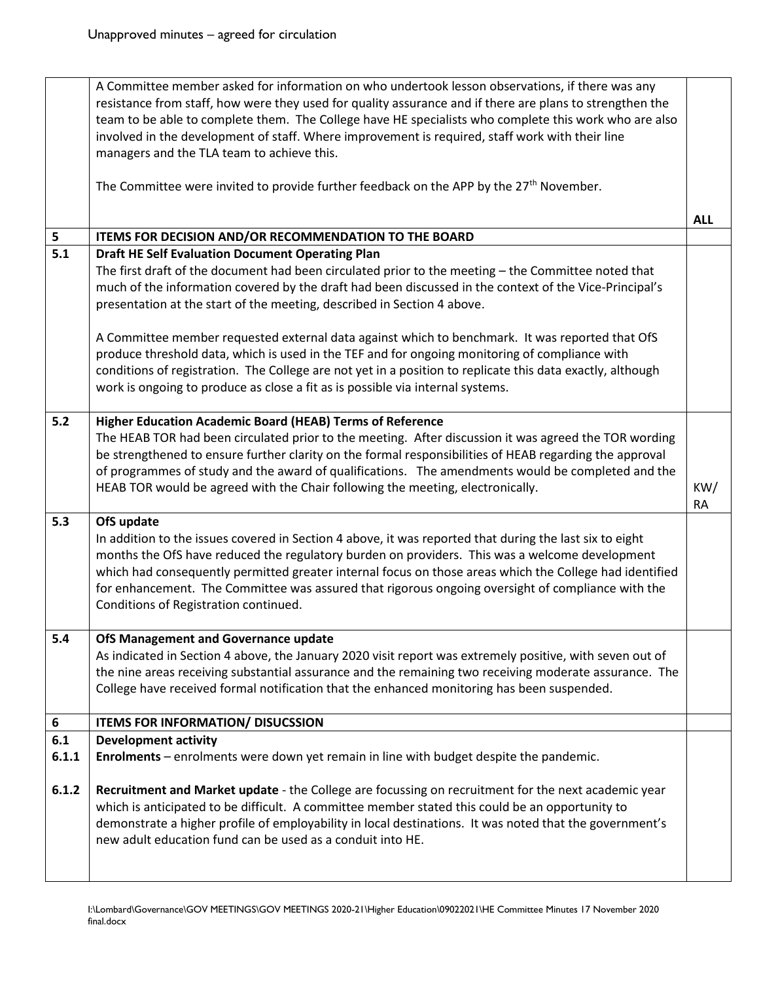|       | A Committee member asked for information on who undertook lesson observations, if there was any<br>resistance from staff, how were they used for quality assurance and if there are plans to strengthen the |            |  |  |
|-------|-------------------------------------------------------------------------------------------------------------------------------------------------------------------------------------------------------------|------------|--|--|
|       | team to be able to complete them. The College have HE specialists who complete this work who are also                                                                                                       |            |  |  |
|       | involved in the development of staff. Where improvement is required, staff work with their line                                                                                                             |            |  |  |
|       | managers and the TLA team to achieve this.                                                                                                                                                                  |            |  |  |
|       |                                                                                                                                                                                                             |            |  |  |
|       | The Committee were invited to provide further feedback on the APP by the 27 <sup>th</sup> November.                                                                                                         |            |  |  |
|       |                                                                                                                                                                                                             | <b>ALL</b> |  |  |
| 5     | ITEMS FOR DECISION AND/OR RECOMMENDATION TO THE BOARD                                                                                                                                                       |            |  |  |
| 5.1   | Draft HE Self Evaluation Document Operating Plan                                                                                                                                                            |            |  |  |
|       | The first draft of the document had been circulated prior to the meeting - the Committee noted that                                                                                                         |            |  |  |
|       | much of the information covered by the draft had been discussed in the context of the Vice-Principal's                                                                                                      |            |  |  |
|       | presentation at the start of the meeting, described in Section 4 above.                                                                                                                                     |            |  |  |
|       |                                                                                                                                                                                                             |            |  |  |
|       | A Committee member requested external data against which to benchmark. It was reported that OfS                                                                                                             |            |  |  |
|       | produce threshold data, which is used in the TEF and for ongoing monitoring of compliance with                                                                                                              |            |  |  |
|       | conditions of registration. The College are not yet in a position to replicate this data exactly, although                                                                                                  |            |  |  |
|       | work is ongoing to produce as close a fit as is possible via internal systems.                                                                                                                              |            |  |  |
|       |                                                                                                                                                                                                             |            |  |  |
| $5.2$ | Higher Education Academic Board (HEAB) Terms of Reference                                                                                                                                                   |            |  |  |
|       | The HEAB TOR had been circulated prior to the meeting. After discussion it was agreed the TOR wording                                                                                                       |            |  |  |
|       | be strengthened to ensure further clarity on the formal responsibilities of HEAB regarding the approval                                                                                                     |            |  |  |
|       | of programmes of study and the award of qualifications. The amendments would be completed and the                                                                                                           |            |  |  |
|       | HEAB TOR would be agreed with the Chair following the meeting, electronically.                                                                                                                              | KW/        |  |  |
|       |                                                                                                                                                                                                             | <b>RA</b>  |  |  |
| 5.3   | OfS update                                                                                                                                                                                                  |            |  |  |
|       | In addition to the issues covered in Section 4 above, it was reported that during the last six to eight                                                                                                     |            |  |  |
|       | months the OfS have reduced the regulatory burden on providers. This was a welcome development                                                                                                              |            |  |  |
|       | which had consequently permitted greater internal focus on those areas which the College had identified                                                                                                     |            |  |  |
|       | for enhancement. The Committee was assured that rigorous ongoing oversight of compliance with the                                                                                                           |            |  |  |
|       | Conditions of Registration continued.                                                                                                                                                                       |            |  |  |
|       |                                                                                                                                                                                                             |            |  |  |
| 5.4   | OfS Management and Governance update                                                                                                                                                                        |            |  |  |
|       | As indicated in Section 4 above, the January 2020 visit report was extremely positive, with seven out of                                                                                                    |            |  |  |
|       | the nine areas receiving substantial assurance and the remaining two receiving moderate assurance. The                                                                                                      |            |  |  |
|       | College have received formal notification that the enhanced monitoring has been suspended.                                                                                                                  |            |  |  |
|       |                                                                                                                                                                                                             |            |  |  |
| 6     | <b>ITEMS FOR INFORMATION/ DISUCSSION</b>                                                                                                                                                                    |            |  |  |
| 6.1   | <b>Development activity</b>                                                                                                                                                                                 |            |  |  |
| 6.1.1 | Enrolments - enrolments were down yet remain in line with budget despite the pandemic.                                                                                                                      |            |  |  |
|       |                                                                                                                                                                                                             |            |  |  |
| 6.1.2 | Recruitment and Market update - the College are focussing on recruitment for the next academic year                                                                                                         |            |  |  |
|       | which is anticipated to be difficult. A committee member stated this could be an opportunity to                                                                                                             |            |  |  |
|       | demonstrate a higher profile of employability in local destinations. It was noted that the government's                                                                                                     |            |  |  |
|       | new adult education fund can be used as a conduit into HE.                                                                                                                                                  |            |  |  |
|       |                                                                                                                                                                                                             |            |  |  |
|       |                                                                                                                                                                                                             |            |  |  |